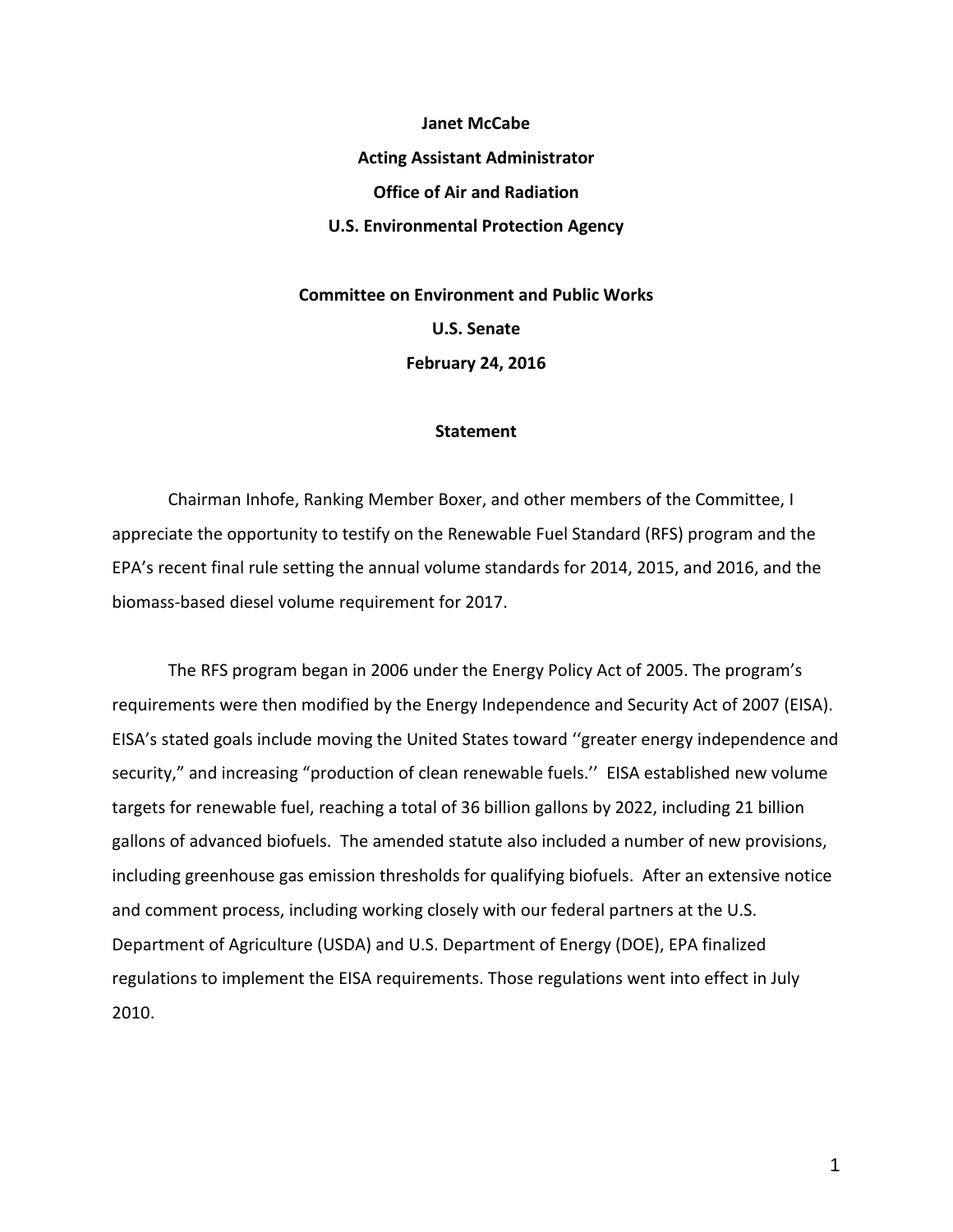**Janet McCabe Acting Assistant Administrator Office of Air and Radiation U.S. Environmental Protection Agency**

**Committee on Environment and Public Works U.S. Senate February 24, 2016**

## **Statement**

Chairman Inhofe, Ranking Member Boxer, and other members of the Committee, I appreciate the opportunity to testify on the Renewable Fuel Standard (RFS) program and the EPA's recent final rule setting the annual volume standards for 2014, 2015, and 2016, and the biomass-based diesel volume requirement for 2017.

The RFS program began in 2006 under the Energy Policy Act of 2005. The program's requirements were then modified by the Energy Independence and Security Act of 2007 (EISA). EISA's stated goals include moving the United States toward ''greater energy independence and security," and increasing "production of clean renewable fuels.'' EISA established new volume targets for renewable fuel, reaching a total of 36 billion gallons by 2022, including 21 billion gallons of advanced biofuels. The amended statute also included a number of new provisions, including greenhouse gas emission thresholds for qualifying biofuels. After an extensive notice and comment process, including working closely with our federal partners at the U.S. Department of Agriculture (USDA) and U.S. Department of Energy (DOE), EPA finalized regulations to implement the EISA requirements. Those regulations went into effect in July 2010.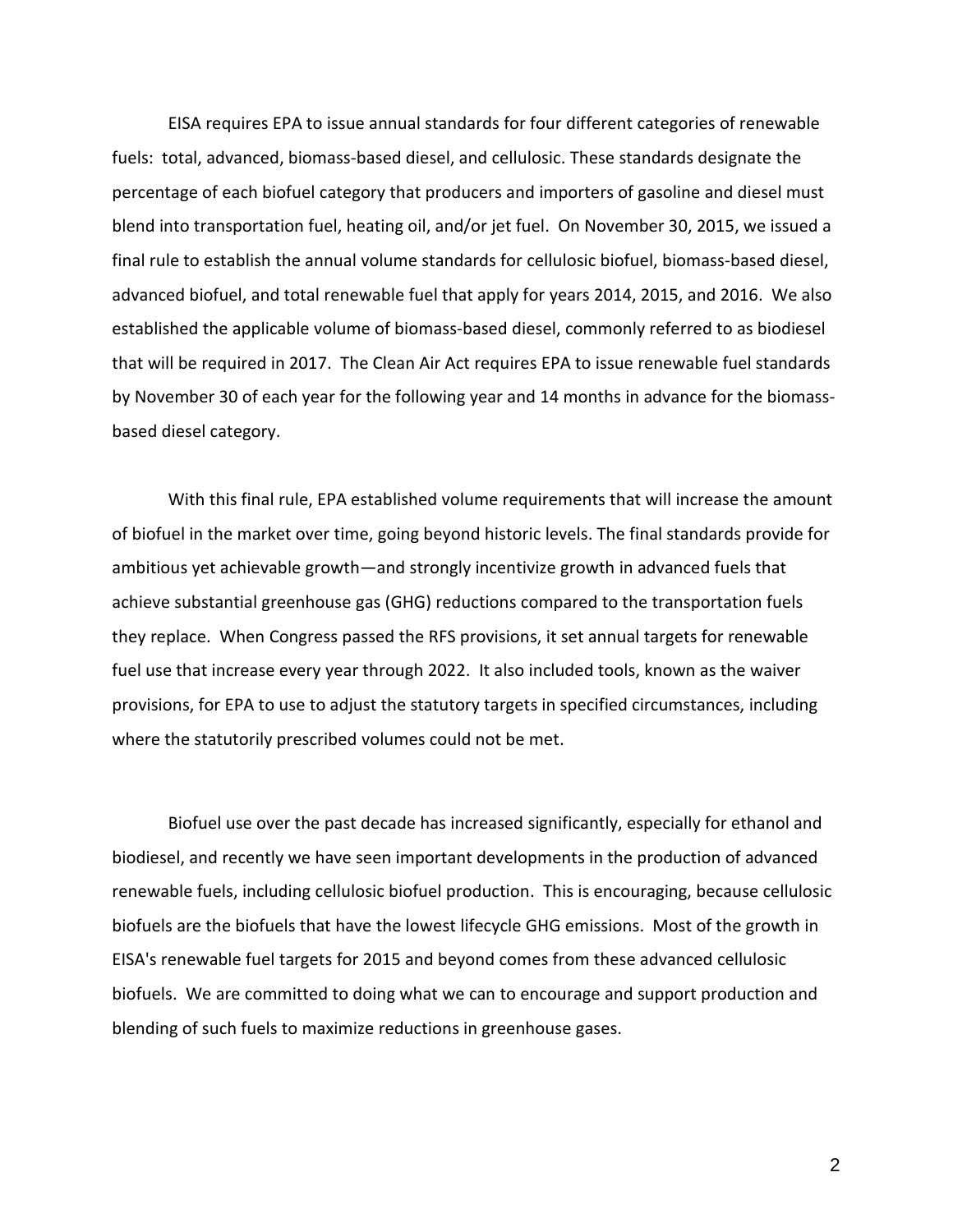EISA requires EPA to issue annual standards for four different categories of renewable fuels: total, advanced, biomass-based diesel, and cellulosic. These standards designate the percentage of each biofuel category that producers and importers of gasoline and diesel must blend into transportation fuel, heating oil, and/or jet fuel. On November 30, 2015, we issued a final rule to establish the annual volume standards for cellulosic biofuel, biomass-based diesel, advanced biofuel, and total renewable fuel that apply for years 2014, 2015, and 2016. We also established the applicable volume of biomass-based diesel, commonly referred to as biodiesel that will be required in 2017. The Clean Air Act requires EPA to issue renewable fuel standards by November 30 of each year for the following year and 14 months in advance for the biomassbased diesel category.

With this final rule, EPA established volume requirements that will increase the amount of biofuel in the market over time, going beyond historic levels. The final standards provide for ambitious yet achievable growth—and strongly incentivize growth in advanced fuels that achieve substantial greenhouse gas (GHG) reductions compared to the transportation fuels they replace. When Congress passed the RFS provisions, it set annual targets for renewable fuel use that increase every year through 2022. It also included tools, known as the waiver provisions, for EPA to use to adjust the statutory targets in specified circumstances, including where the statutorily prescribed volumes could not be met.

Biofuel use over the past decade has increased significantly, especially for ethanol and biodiesel, and recently we have seen important developments in the production of advanced renewable fuels, including cellulosic biofuel production. This is encouraging, because cellulosic biofuels are the biofuels that have the lowest lifecycle GHG emissions. Most of the growth in EISA's renewable fuel targets for 2015 and beyond comes from these advanced cellulosic biofuels. We are committed to doing what we can to encourage and support production and blending of such fuels to maximize reductions in greenhouse gases.

2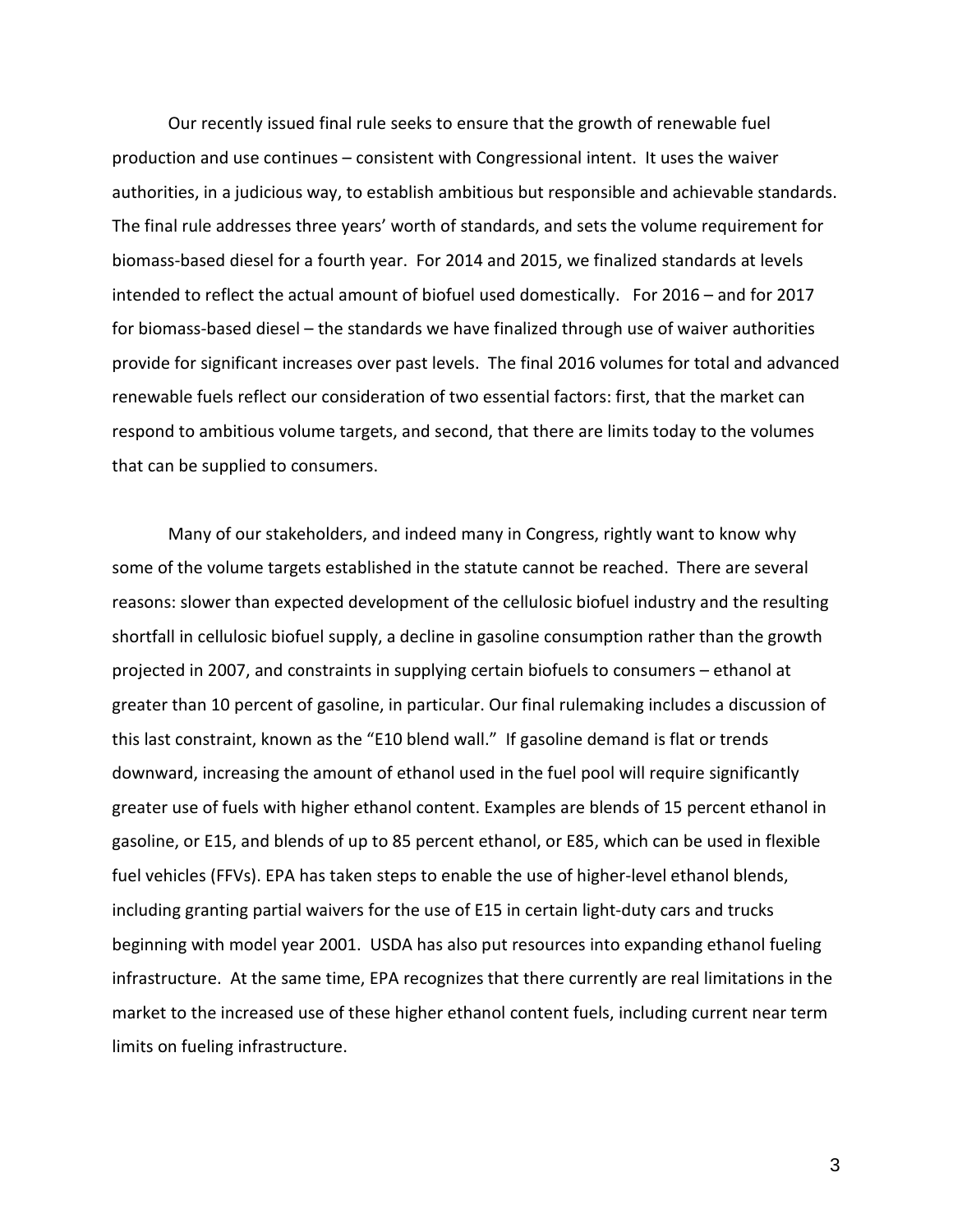Our recently issued final rule seeks to ensure that the growth of renewable fuel production and use continues – consistent with Congressional intent. It uses the waiver authorities, in a judicious way, to establish ambitious but responsible and achievable standards. The final rule addresses three years' worth of standards, and sets the volume requirement for biomass-based diesel for a fourth year. For 2014 and 2015, we finalized standards at levels intended to reflect the actual amount of biofuel used domestically. For 2016 – and for 2017 for biomass-based diesel – the standards we have finalized through use of waiver authorities provide for significant increases over past levels. The final 2016 volumes for total and advanced renewable fuels reflect our consideration of two essential factors: first, that the market can respond to ambitious volume targets, and second, that there are limits today to the volumes that can be supplied to consumers.

Many of our stakeholders, and indeed many in Congress, rightly want to know why some of the volume targets established in the statute cannot be reached. There are several reasons: slower than expected development of the cellulosic biofuel industry and the resulting shortfall in cellulosic biofuel supply, a decline in gasoline consumption rather than the growth projected in 2007, and constraints in supplying certain biofuels to consumers – ethanol at greater than 10 percent of gasoline, in particular. Our final rulemaking includes a discussion of this last constraint, known as the "E10 blend wall." If gasoline demand is flat or trends downward, increasing the amount of ethanol used in the fuel pool will require significantly greater use of fuels with higher ethanol content. Examples are blends of 15 percent ethanol in gasoline, or E15, and blends of up to 85 percent ethanol, or E85, which can be used in flexible fuel vehicles (FFVs). EPA has taken steps to enable the use of higher-level ethanol blends, including granting partial waivers for the use of E15 in certain light-duty cars and trucks beginning with model year 2001. USDA has also put resources into expanding ethanol fueling infrastructure. At the same time, EPA recognizes that there currently are real limitations in the market to the increased use of these higher ethanol content fuels, including current near term limits on fueling infrastructure.

3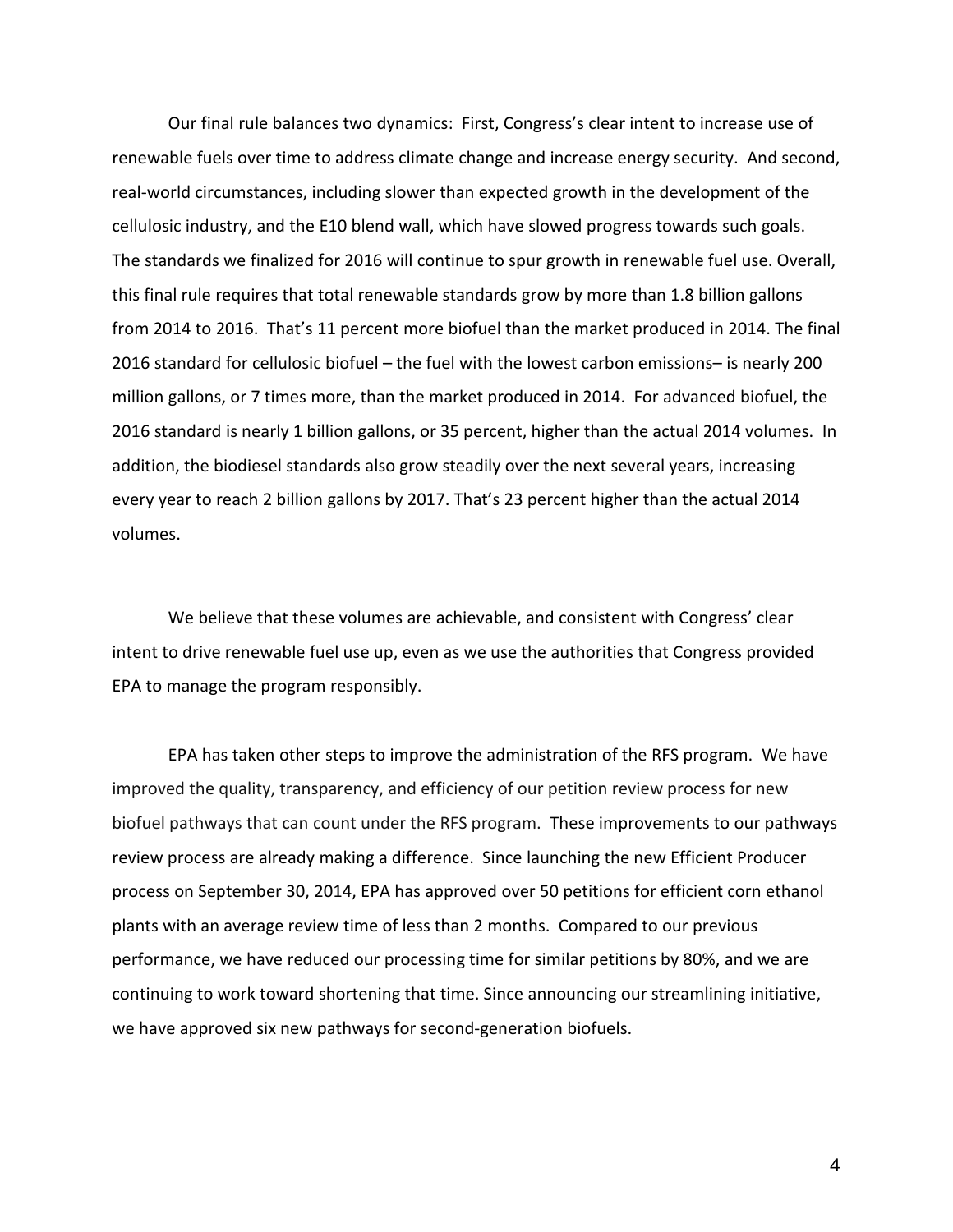Our final rule balances two dynamics: First, Congress's clear intent to increase use of renewable fuels over time to address climate change and increase energy security. And second, real-world circumstances, including slower than expected growth in the development of the cellulosic industry, and the E10 blend wall, which have slowed progress towards such goals. The standards we finalized for 2016 will continue to spur growth in renewable fuel use. Overall, this final rule requires that total renewable standards grow by more than 1.8 billion gallons from 2014 to 2016. That's 11 percent more biofuel than the market produced in 2014. The final 2016 standard for cellulosic biofuel – the fuel with the lowest carbon emissions– is nearly 200 million gallons, or 7 times more, than the market produced in 2014. For advanced biofuel, the 2016 standard is nearly 1 billion gallons, or 35 percent, higher than the actual 2014 volumes. In addition, the biodiesel standards also grow steadily over the next several years, increasing every year to reach 2 billion gallons by 2017. That's 23 percent higher than the actual 2014 volumes.

We believe that these volumes are achievable, and consistent with Congress' clear intent to drive renewable fuel use up, even as we use the authorities that Congress provided EPA to manage the program responsibly.

EPA has taken other steps to improve the administration of the RFS program. We have improved the quality, transparency, and efficiency of our petition review process for new biofuel pathways that can count under the RFS program. These improvements to our pathways review process are already making a difference. Since launching the new Efficient Producer process on September 30, 2014, EPA has approved over 50 petitions for efficient corn ethanol plants with an average review time of less than 2 months. Compared to our previous performance, we have reduced our processing time for similar petitions by 80%, and we are continuing to work toward shortening that time. Since announcing our streamlining initiative, we have approved six new pathways for second-generation biofuels.